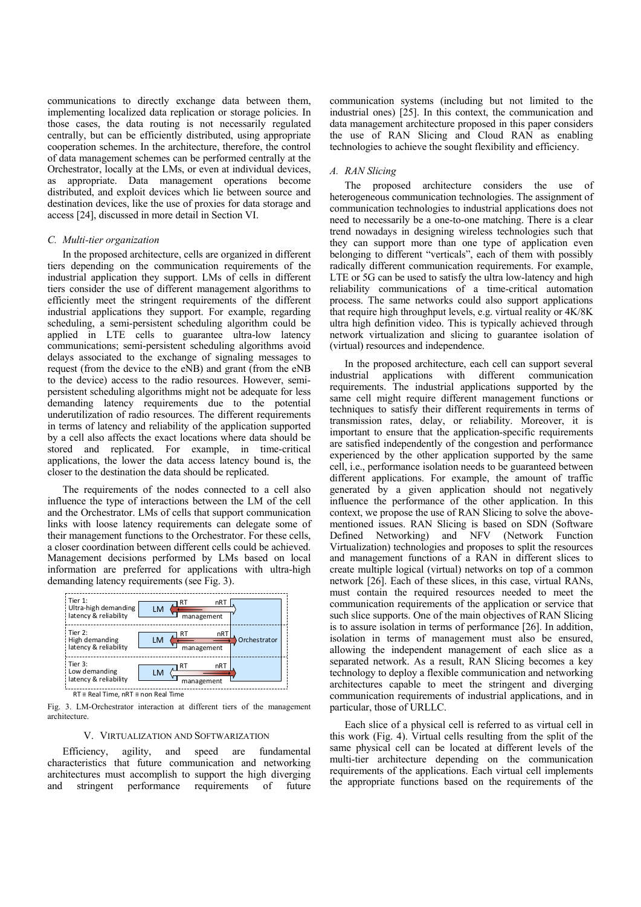communications to directly exchange data between them, implementing localized data replication or storage policies. In those cases, the data routing is not necessarily regulated centrally, but can be efficiently distributed, using appropriate cooperation schemes. In the architecture, therefore, the control of data management schemes can be performed centrally at the Orchestrator, locally at the LMs, or even at individual devices, as appropriate. Data management operations become distributed, and exploit devices which lie between source and destination devices, like the use of proxies for data storage and access [24], discussed in more detail in Section VI.

## *C. Multi-tier organization*

In the proposed architecture, cells are organized in different tiers depending on the communication requirements of the industrial application they support. LMs of cells in different tiers consider the use of different management algorithms to efficiently meet the stringent requirements of the different industrial applications they support. For example, regarding scheduling, a semi-persistent scheduling algorithm could be applied in LTE cells to guarantee ultra-low latency communications; semi-persistent scheduling algorithms avoid delays associated to the exchange of signaling messages to request (from the device to the eNB) and grant (from the eNB to the device) access to the radio resources. However, semipersistent scheduling algorithms might not be adequate for less demanding latency requirements due to the potential underutilization of radio resources. The different requirements in terms of latency and reliability of the application supported by a cell also affects the exact locations where data should be stored and replicated. For example, in time-critical applications, the lower the data access latency bound is, the closer to the destination the data should be replicated.

The requirements of the nodes connected to a cell also influence the type of interactions between the LM of the cell and the Orchestrator. LMs of cells that support communication links with loose latency requirements can delegate some of their management functions to the Orchestrator. For these cells, a closer coordination between different cells could be achieved. Management decisions performed by LMs based on local information are preferred for applications with ultra-high demanding latency requirements (see Fig. 3).



RT ≡ Real Time, nRT ≡ non Real Time

Fig. 3. LM-Orchestrator interaction at different tiers of the management architecture.

### V. VIRTUALIZATION AND SOFTWARIZATION

Efficiency, agility, and speed are fundamental characteristics that future communication and networking architectures must accomplish to support the high diverging and stringent performance requirements of future

communication systems (including but not limited to the industrial ones) [25]. In this context, the communication and data management architecture proposed in this paper considers the use of RAN Slicing and Cloud RAN as enabling technologies to achieve the sought flexibility and efficiency.

### *A. RAN Slicing*

The proposed architecture considers the use of heterogeneous communication technologies. The assignment of communication technologies to industrial applications does not need to necessarily be a one-to-one matching. There is a clear trend nowadays in designing wireless technologies such that they can support more than one type of application even belonging to different "verticals", each of them with possibly radically different communication requirements. For example, LTE or 5G can be used to satisfy the ultra low-latency and high reliability communications of a time-critical automation process. The same networks could also support applications that require high throughput levels, e.g. virtual reality or 4K/8K ultra high definition video. This is typically achieved through network virtualization and slicing to guarantee isolation of (virtual) resources and independence.

In the proposed architecture, each cell can support several industrial applications with different communication requirements. The industrial applications supported by the same cell might require different management functions or techniques to satisfy their different requirements in terms of transmission rates, delay, or reliability. Moreover, it is important to ensure that the application-specific requirements are satisfied independently of the congestion and performance experienced by the other application supported by the same cell, i.e., performance isolation needs to be guaranteed between different applications. For example, the amount of traffic generated by a given application should not negatively influence the performance of the other application. In this context, we propose the use of RAN Slicing to solve the abovementioned issues. RAN Slicing is based on SDN (Software Defined Networking) and NFV (Network Function Virtualization) technologies and proposes to split the resources and management functions of a RAN in different slices to create multiple logical (virtual) networks on top of a common network [26]. Each of these slices, in this case, virtual RANs, must contain the required resources needed to meet the communication requirements of the application or service that such slice supports. One of the main objectives of RAN Slicing is to assure isolation in terms of performance [26]. In addition, isolation in terms of management must also be ensured, allowing the independent management of each slice as a separated network. As a result, RAN Slicing becomes a key technology to deploy a flexible communication and networking architectures capable to meet the stringent and diverging communication requirements of industrial applications, and in particular, those of URLLC. 2018 14th Annual Conference on Wireless On-demand Network Systems and Services (WONS)<br>
minimize scaling the stress of the stress of the stress of the stress of the stress of the stress of the stress of the stress of the s

Each slice of a physical cell is referred to as virtual cell in this work (Fig. 4). Virtual cells resulting from the split of the same physical cell can be located at different levels of the multi-tier architecture depending on the communication requirements of the applications. Each virtual cell implements the appropriate functions based on the requirements of the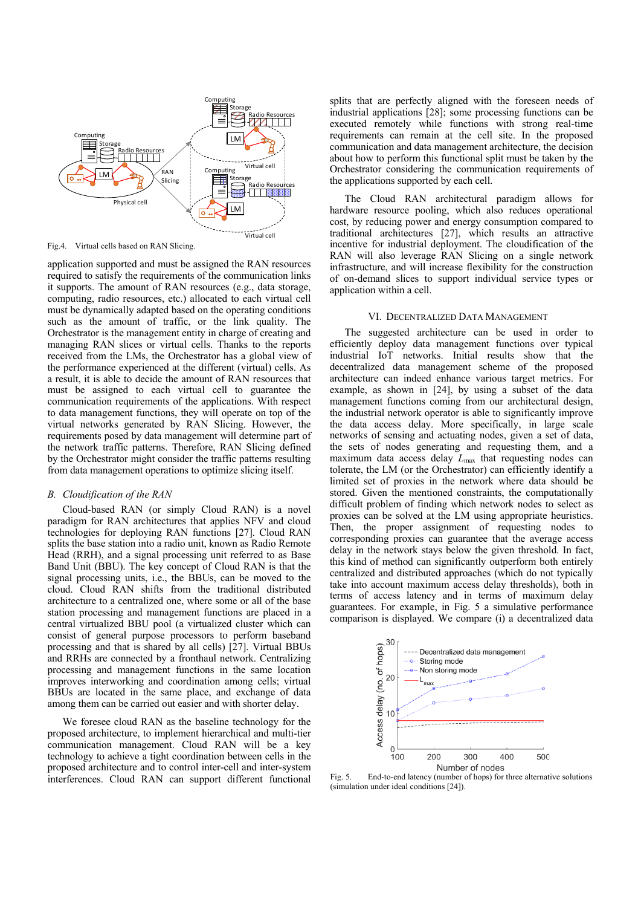

Fig.4. Virtual cells based on RAN Slicing.

application supported and must be assigned the RAN resources required to satisfy the requirements of the communication links it supports. The amount of RAN resources (e.g., data storage, computing, radio resources, etc.) allocated to each virtual cell must be dynamically adapted based on the operating conditions such as the amount of traffic, or the link quality. The Orchestrator is the management entity in charge of creating and managing RAN slices or virtual cells. Thanks to the reports received from the LMs, the Orchestrator has a global view of the performance experienced at the different (virtual) cells. As a result, it is able to decide the amount of RAN resources that must be assigned to each virtual cell to guarantee the communication requirements of the applications. With respect to data management functions, they will operate on top of the virtual networks generated by RAN Slicing. However, the requirements posed by data management will determine part of the network traffic patterns. Therefore, RAN Slicing defined by the Orchestrator might consider the traffic patterns resulting from data management operations to optimize slicing itself.

#### *B. Cloudification of the RAN*

Cloud-based RAN (or simply Cloud RAN) is a novel paradigm for RAN architectures that applies NFV and cloud technologies for deploying RAN functions [27]. Cloud RAN splits the base station into a radio unit, known as Radio Remote Head (RRH), and a signal processing unit referred to as Base Band Unit (BBU). The key concept of Cloud RAN is that the signal processing units, i.e., the BBUs, can be moved to the cloud. Cloud RAN shifts from the traditional distributed architecture to a centralized one, where some or all of the base station processing and management functions are placed in a central virtualized BBU pool (a virtualized cluster which can consist of general purpose processors to perform baseband processing and that is shared by all cells) [27]. Virtual BBUs and RRHs are connected by a fronthaul network. Centralizing processing and management functions in the same location improves interworking and coordination among cells; virtual BBUs are located in the same place, and exchange of data among them can be carried out easier and with shorter delay.

We foresee cloud RAN as the baseline technology for the proposed architecture, to implement hierarchical and multi-tier communication management. Cloud RAN will be a key technology to achieve a tight coordination between cells in the proposed architecture and to control inter-cell and inter-system interferences. Cloud RAN can support different functional

splits that are perfectly aligned with the foreseen needs of industrial applications [28]; some processing functions can be executed remotely while functions with strong real-time requirements can remain at the cell site. In the proposed communication and data management architecture, the decision about how to perform this functional split must be taken by the Orchestrator considering the communication requirements of the applications supported by each cell.

The Cloud RAN architectural paradigm allows for hardware resource pooling, which also reduces operational cost, by reducing power and energy consumption compared to traditional architectures [27], which results an attractive incentive for industrial deployment. The cloudification of the RAN will also leverage RAN Slicing on a single network infrastructure, and will increase flexibility for the construction of on-demand slices to support individual service types or application within a cell.

# VI. DECENTRALIZED DATA MANAGEMENT

The suggested architecture can be used in order to efficiently deploy data management functions over typical industrial IoT networks. Initial results show that the decentralized data management scheme of the proposed architecture can indeed enhance various target metrics. For example, as shown in [24], by using a subset of the data management functions coming from our architectural design, the industrial network operator is able to significantly improve the data access delay. More specifically, in large scale networks of sensing and actuating nodes, given a set of data, the sets of nodes generating and requesting them, and a maximum data access delay *L*max that requesting nodes can tolerate, the LM (or the Orchestrator) can efficiently identify a limited set of proxies in the network where data should be stored. Given the mentioned constraints, the computationally difficult problem of finding which network nodes to select as proxies can be solved at the LM using appropriate heuristics. Then, the proper assignment of requesting nodes to corresponding proxies can guarantee that the average access delay in the network stays below the given threshold. In fact, this kind of method can significantly outperform both entirely centralized and distributed approaches (which do not typically take into account maximum access delay thresholds), both in terms of access latency and in terms of maximum delay guarantees. For example, in Fig. 5 a simulative performance comparison is displayed. We compare (i) a decentralized data 2018 14th Annual Conference on Wireless On-demand Network Systems and Services (WoNS)<br>
2018 14th Annual Conference on Wireless On-demand Network Systems and Services (Wireless On-demonstration with the same of the same of



Fig. 5. End-to-end latency (number of hops) for three alternative solutions (simulation under ideal conditions [24]).